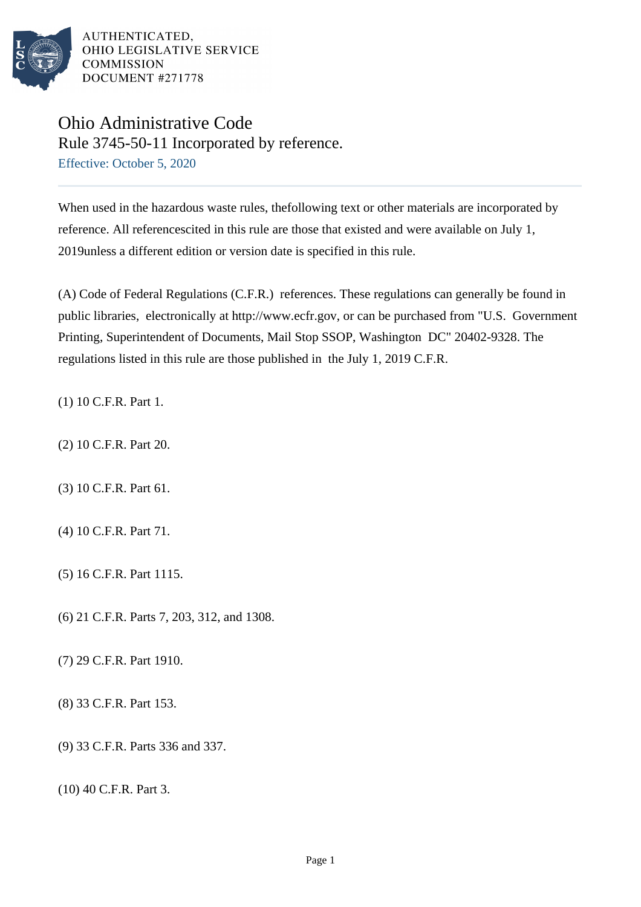

## Ohio Administrative Code Rule 3745-50-11 Incorporated by reference. Effective: October 5, 2020

When used in the hazardous waste rules, thefollowing text or other materials are incorporated by reference. All referencescited in this rule are those that existed and were available on July 1, 2019unless a different edition or version date is specified in this rule.

(A) Code of Federal Regulations (C.F.R.) references. These regulations can generally be found in public libraries, electronically at http://www.ecfr.gov, or can be purchased from "U.S. Government Printing, Superintendent of Documents, Mail Stop SSOP, Washington DC" 20402-9328. The regulations listed in this rule are those published in the July 1, 2019 C.F.R.

(1) 10 C.F.R. Part 1.

- (2) 10 C.F.R. Part 20.
- (3) 10 C.F.R. Part 61.
- (4) 10 C.F.R. Part 71.
- (5) 16 C.F.R. Part 1115.
- (6) 21 C.F.R. Parts 7, 203, 312, and 1308.
- (7) 29 C.F.R. Part 1910.
- (8) 33 C.F.R. Part 153.
- (9) 33 C.F.R. Parts 336 and 337.

 $(10)$  40 C.F.R. Part 3.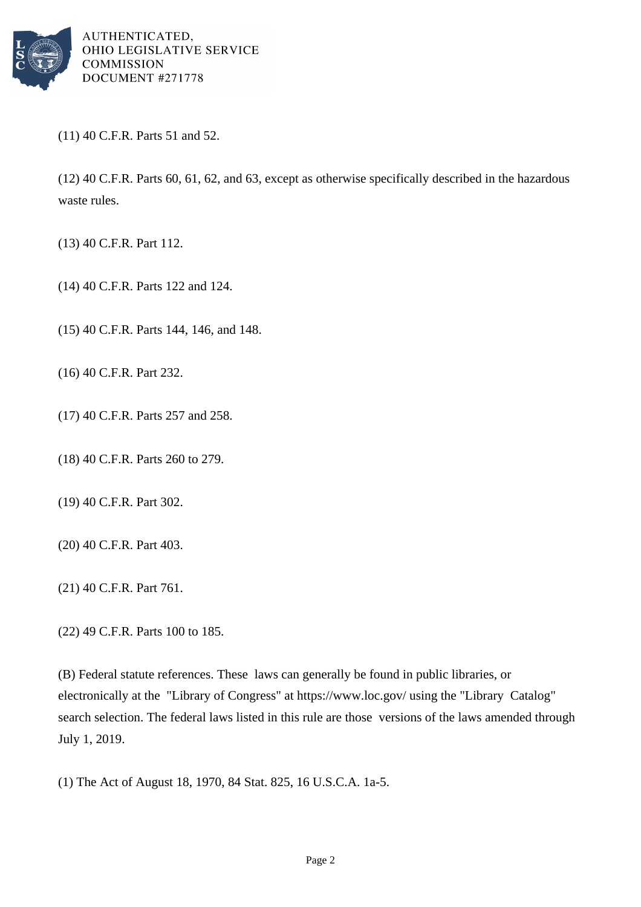

 $(11)$  40 C.F.R. Parts 51 and 52.

 $(12)$  40 C.F.R. Parts 60, 61, 62, and 63, except as otherwise specifically described in the hazardous waste rules.

(13) 40 C.F.R. Part 112.

- (14) 40 C.F.R. Parts 122 and 124.
- (15) 40 C.F.R. Parts 144, 146, and 148.
- (16) 40 C.F.R. Part 232.
- (17) 40 C.F.R. Parts 257 and 258.
- (18) 40 C.F.R. Parts 260 to 279.
- (19) 40 C.F.R. Part 302.
- (20) 40 C.F.R. Part 403.
- (21) 40 C.F.R. Part 761.
- (22) 49 C.F.R. Parts 100 to 185.

(B) Federal statute references. These laws can generally be found in public libraries, or electronically at the "Library of Congress" at https://www.loc.gov/ using the "Library Catalog" search selection. The federal laws listed in this rule are those versions of the laws amended through July 1, 2019.

(1) The Act of August 18, 1970, 84 Stat. 825, 16 U.S.C.A. 1a-5.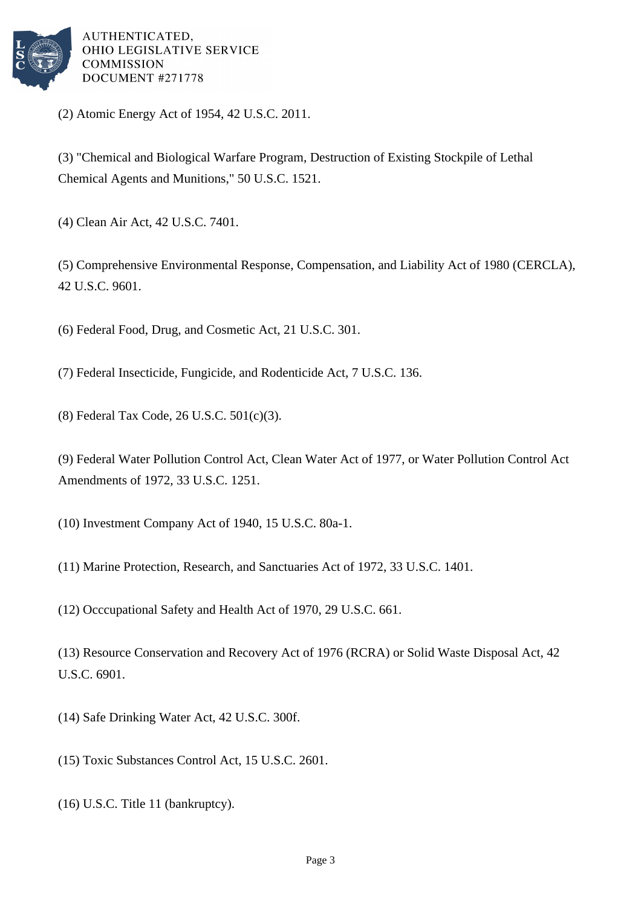

(2) Atomic Energy Act of 1954, 42 U.S.C. 2011.

(3) "Chemical and Biological Warfare Program, Destruction of Existing Stockpile of Lethal Chemical Agents and Munitions," 50 U.S.C. 1521.

(4) Clean Air Act, 42 U.S.C. 7401.

(5) Comprehensive Environmental Response, Compensation, and Liability Act of 1980 (CERCLA), 42 U.S.C. 9601.

(6) Federal Food, Drug, and Cosmetic Act, 21 U.S.C. 301.

(7) Federal Insecticide, Fungicide, and Rodenticide Act, 7 U.S.C. 136.

(8) Federal Tax Code, 26 U.S.C. 501(c)(3).

(9) Federal Water Pollution Control Act, Clean Water Act of 1977, or Water Pollution Control Act Amendments of 1972, 33 U.S.C. 1251.

(10) Investment Company Act of 1940, 15 U.S.C. 80a-1.

(11) Marine Protection, Research, and Sanctuaries Act of 1972, 33 U.S.C. 1401.

(12) Occcupational Safety and Health Act of 1970, 29 U.S.C. 661.

(13) Resource Conservation and Recovery Act of 1976 (RCRA) or Solid Waste Disposal Act, 42 U.S.C. 6901.

(14) Safe Drinking Water Act, 42 U.S.C. 300f.

(15) Toxic Substances Control Act, 15 U.S.C. 2601.

(16) U.S.C. Title 11 (bankruptcy).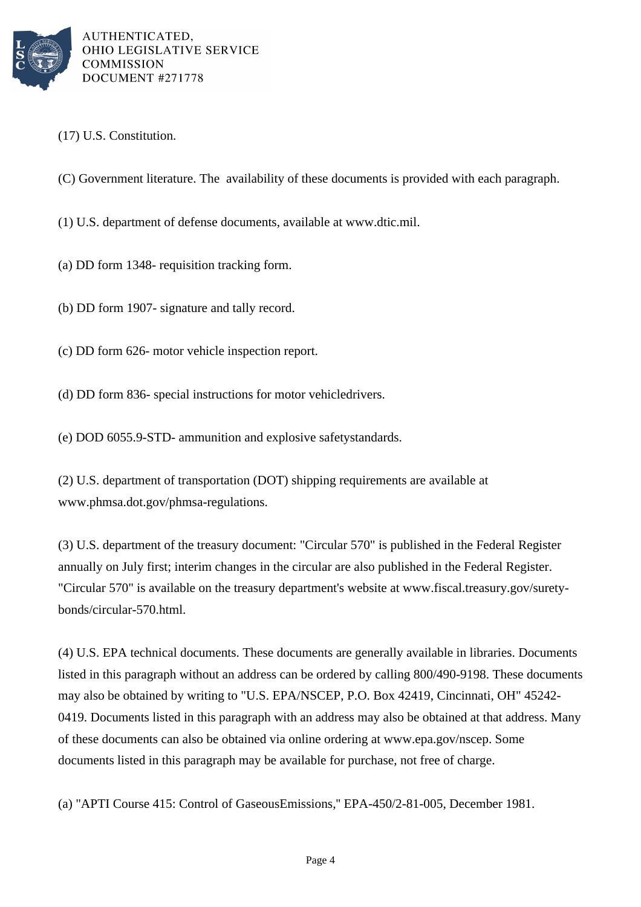

(17) U.S. Constitution.

(C) Government literature. The availability of these documents is provided with each paragraph.

- (1) U.S. department of defense documents, available at www.dtic.mil.
- (a) DD form 1348- requisition tracking form.
- (b) DD form 1907- signature and tally record.
- (c) DD form 626- motor vehicle inspection report.
- (d) DD form 836- special instructions for motor vehicle drivers.
- (e) DOD 6055.9-STD- ammunition and explosive safety standards.
- (2) U.S. department of transportation (DOT) shipping requirements are available at www.phmsa.dot.gov/phmsa-regulations.

(3) U.S. department of the treasury document: "Circular 570" is published in the Federal Register annually on July first; interim changes in the circular are also published in the Federal Register. "Circular 570" is available on the treasury department's website at www.fiscal.treasury.gov/suretybonds/circular-570.html.

(4) U.S. EPA technical documents. These documents are generally available in libraries. Documents listed in this paragraph without an address can be ordered by calling 800/490-9198. These documents may also be obtained by writing to "U.S. EPA/NSCEP, P.O. Box 42419, Cincinnati, OH" 45242- 0419. Documents listed in this paragraph with an address may also be obtained at that address. Many of these documents can also be obtained via online ordering at www.epa.gov/nscep. Some documents listed in this paragraph may be available for purchase, not free of charge.

(a) "APTI Course 415: Control of Gaseous Emissions," EPA-450/2-81-005, December 1981.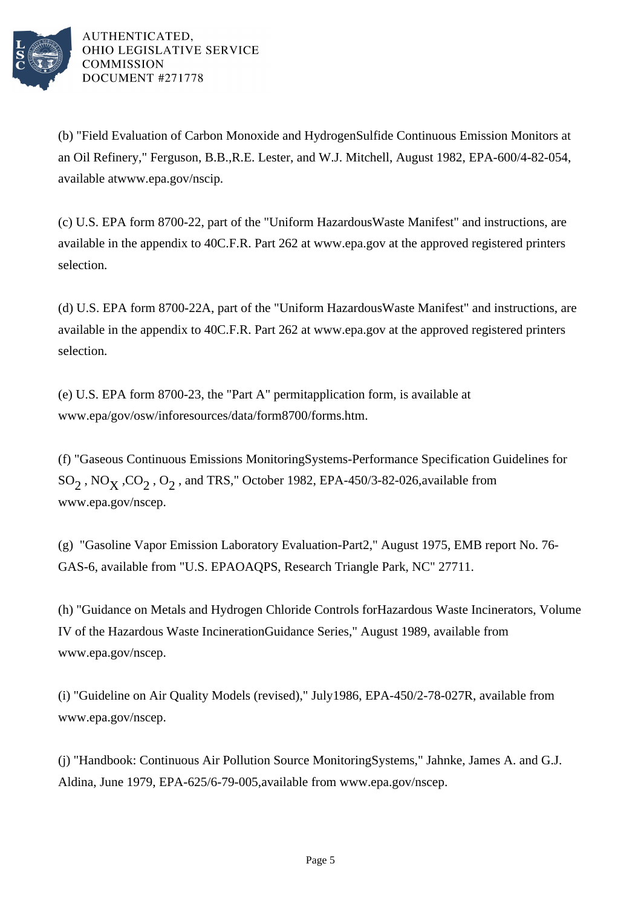

(b) "Field Evaluation of Carbon Monoxide and Hydrogen Sulfide Continuous Emission Monitors at an Oil Refinery," Ferguson, B.B., R.E. Lester, and W.J. Mitchell, August 1982, EPA-600/4-82-054, available at www.epa.gov/nscip.

(c) U.S. EPA form 8700-22, part of the "Uniform Hazardous Waste Manifest" and instructions, are available in the appendix to 40 C.F.R. Part 262 at www.epa.gov at the approved registered printers selection.

(d) U.S. EPA form 8700-22A, part of the "Uniform Hazardous Waste Manifest" and instructions, are available in the appendix to 40 C.F.R. Part 262 at www.epa.gov at the approved registered printers selection.

(e) U.S. EPA form  $8700-23$ , the "Part A" permit application form, is available at www.epa/gov/osw/inforesources/data/form8700/forms.htm.

(f) "Gaseous Continuous Emissions Monitoring Systems-Performance Specification Guidelines for  $SO_2$ , NO<sub>X</sub>,  $CO_2$ , O<sub>2</sub>, and TRS," October 1982, EPA-450/3-82-026, available from www.epa.gov/nscep.

(g) "Gasoline Vapor Emission Laboratory Evaluation-Part 2," August 1975, EMB report No. 76- GAS-6, available from "U.S. EPA OAQPS, Research Triangle Park, NC" 27711.

(h) "Guidance on Metals and Hydrogen Chloride Controls for Hazardous Waste Incinerators, Volume IV of the Hazardous Waste Incineration Guidance Series," August 1989, available from www.epa.gov/nscep.

(i) "Guideline on Air Quality Models (revised)," July 1986, EPA-450/2-78-027R, available from www.epa.gov/nscep.

(j) "Handbook: Continuous Air Pollution Source Monitoring Systems," Jahnke, James A. and G.J. Aldina, June 1979, EPA-625/6-79-005, available from www.epa.gov/nscep.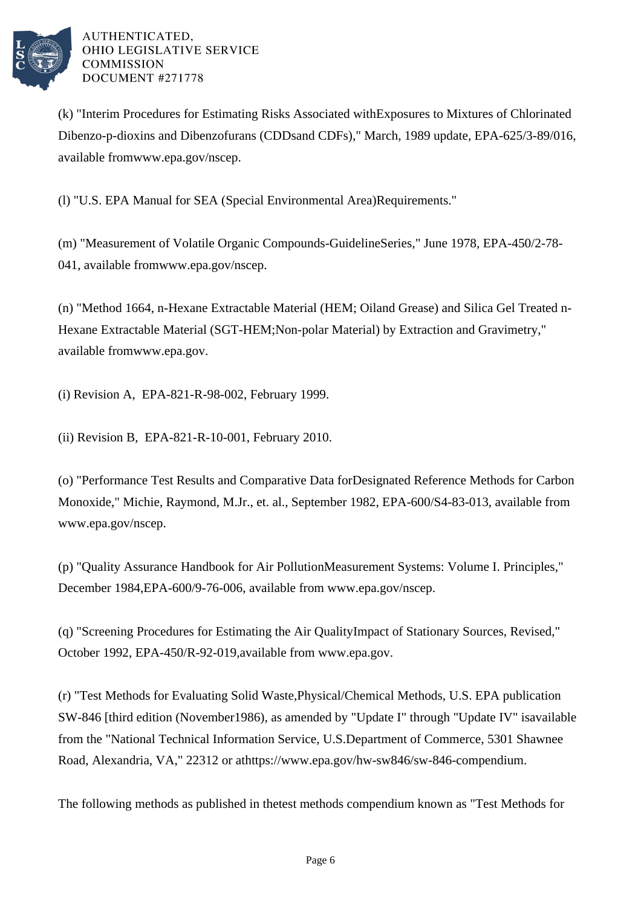

(k) "Interim Procedures for Estimating Risks Associated with Exposures to Mixtures of Chlorinated Dibenzo-p-dioxins and Dibenzofurans (CDDs and CDFs)," March, 1989 update, EPA-625/3-89/016, available from www.epa.gov/nscep.

(l) "U.S. EPA Manual for SEA (Special Environmental Area) Requirements."

(m) "Measurement of Volatile Organic Compounds-Guideline Series," June 1978, EPA-450/2-78-041, available from www.epa.gov/nscep.

(n) "Method 1664, n-Hexane Extractable Material (HEM; Oil and Grease) and Silica Gel Treated n-Hexane Extractable Material (SGT-HEM; Non-polar Material) by Extraction and Gravimetry," available from www.epa.gov.

(i) Revision A, EPA-821-R-98-002, February 1999.

(ii) Revision B, EPA-821-R-10-001, February 2010.

(o) "Performance Test Results and Comparative Data for Designated Reference Methods for Carbon Monoxide," Michie, Raymond, M. Jr., et. al., September 1982, EPA-600/S4-83-013, available from www.epa.gov/nscep.

(p) "Quality Assurance Handbook for Air Pollution Measurement Systems: Volume I. Principles," December 1984, EPA-600/9-76-006, available from www.epa.gov/nscep.

(q) "Screening Procedures for Estimating the Air Quality Impact of Stationary Sources, Revised," October 1992, EPA-450/R-92-019, available from www.epa.gov.

(r) "Test Methods for Evaluating Solid Waste, Physical/Chemical Methods, U.S. EPA publication SW-846 [third edition (November 1986), as amended by "Update I" through "Update IV" is available from the "National Technical Information Service, U.S. Department of Commerce, 5301 Shawnee Road, Alexandria, VA," 22312 or at https://www.epa.gov/hw-sw846/sw-846-compendium.

The following methods as published in the test methods compendium known as "Test Methods for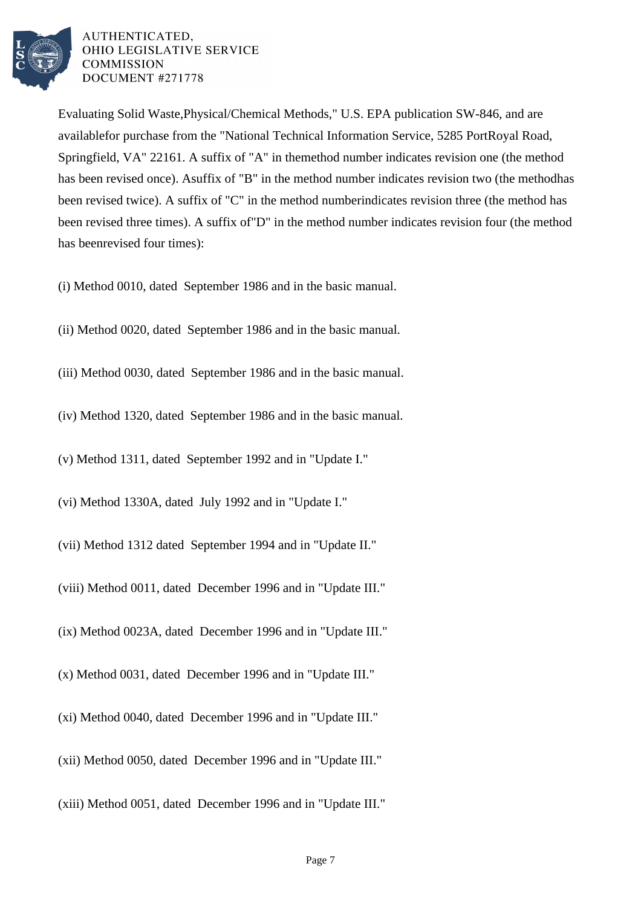

Evaluating Solid Waste, Physical/Chemical Methods," U.S. EPA publication SW-846, and are available for purchase from the "National Technical Information Service, 5285 Port Royal Road, Springfield, VA" 22161. A suffix of "A" in the method number indicates revision one (the method has been revised once). A suffix of "B" in the method number indicates revision two (the method has been revised twice). A suffix of "C" in the method number indicates revision three (the method has been revised three times). A suffix of "D" in the method number indicates revision four (the method has been revised four times):

- (i) Method 0010, dated September 1986 and in the basic manual.
- (ii) Method 0020, dated September 1986 and in the basic manual.
- (iii) Method 0030, dated September 1986 and in the basic manual.
- (iv) Method 1320, dated September 1986 and in the basic manual.
- (v) Method 1311, dated September 1992 and in "Update I."
- (vi) Method 1330A, dated July 1992 and in "Update I."
- (vii) Method 1312 dated September 1994 and in "Update II."
- (viii) Method 0011, dated December 1996 and in "Update III."
- (ix) Method 0023A, dated December 1996 and in "Update III."
- (x) Method 0031, dated December 1996 and in "Update III."
- (xi) Method 0040, dated December 1996 and in "Update III."
- (xii) Method 0050, dated December 1996 and in "Update III."
- (xiii) Method 0051, dated December 1996 and in "Update III."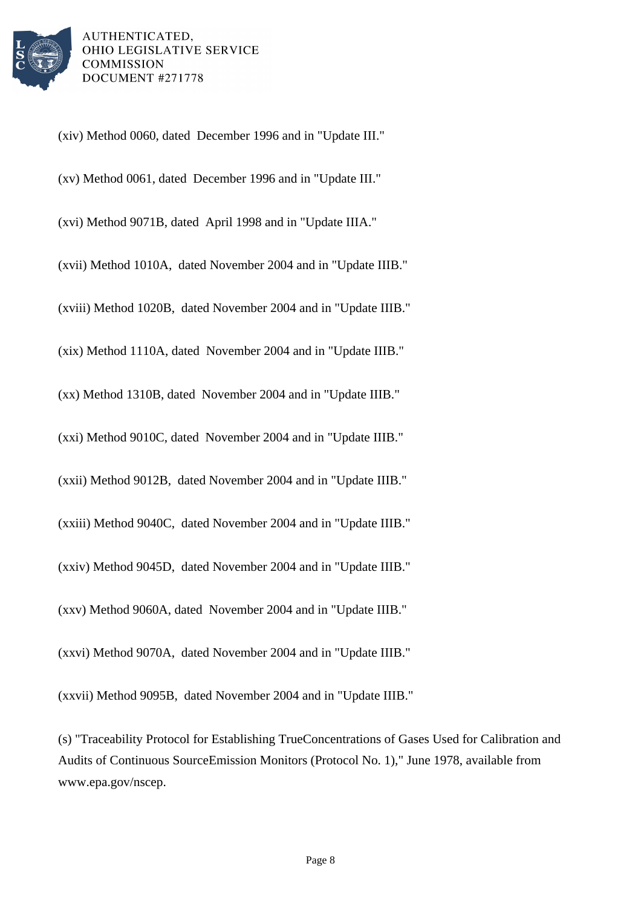

(xiv) Method 0060, dated December 1996 and in "Update III."

(xv) Method 0061, dated December 1996 and in "Update III."

(xvi) Method 9071B, dated April 1998 and in "Update IIIA."

(xvii) Method 1010A, dated November 2004 and in "Update IIIB."

(xviii) Method 1020B, dated November 2004 and in "Update IIIB."

(xix) Method 1110A, dated November 2004 and in "Update IIIB."

(xx) Method 1310B, dated November 2004 and in "Update IIIB."

(xxi) Method 9010C, dated November 2004 and in "Update IIIB."

(xxii) Method 9012B, dated November 2004 and in "Update IIIB."

(xxiii) Method 9040C, dated November 2004 and in "Update IIIB."

(xxiv) Method 9045D, dated November 2004 and in "Update IIIB."

(xxv) Method 9060A, dated November 2004 and in "Update IIIB."

(xxvi) Method 9070A, dated November 2004 and in "Update IIIB."

(xxvii) Method 9095B, dated November 2004 and in "Update IIIB."

(s) "Traceability Protocol for Establishing True Concentrations of Gases Used for Calibration and Audits of Continuous Source Emission Monitors (Protocol No. 1)," June 1978, available from www.epa.gov/nscep.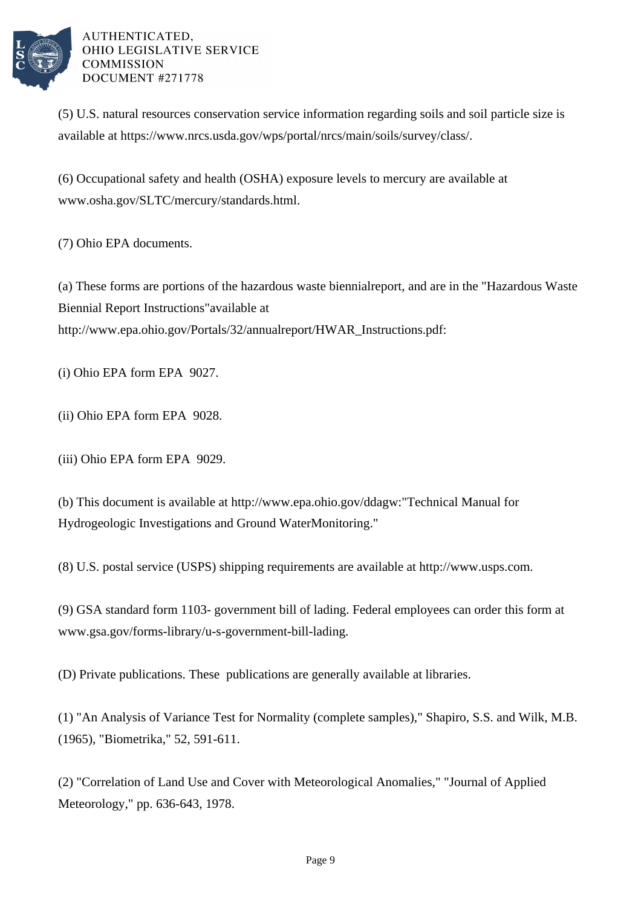

(5) U.S. natural resources conservation service information regarding soils and soil particle size is available at https://www.nrcs.usda.gov/wps/portal/nrcs/main/soils/survey/class/.

(6) Occupational safety and health (OSHA) exposure levels to mercury are available at www.osha.gov/SLTC/mercury/standards.html.

(7) Ohio EPA documents.

(a) These forms are portions of the hazardous waste biennial report, and are in the "Hazardous Waste Biennial Report Instructions" available at http://www.epa.ohio.gov/Portals/32/annualreport/HWAR\_Instructions.pdf:

(i) Ohio EPA form EPA 9027.

- (ii) Ohio EPA form EPA 9028.
- (iii) Ohio EPA form EPA 9029.

(b) This document is available at http://www.epa.ohio.gov/ddagw: "Technical Manual for Hydrogeologic Investigations and Ground Water Monitoring."

(8) U.S. postal service (USPS) shipping requirements are available at http://www.usps.com.

(9) GSA standard form 1103- government bill of lading. Federal employees can order this form at www.gsa.gov/forms-library/u-s-government-bill-lading.

(D) Private publications. These publications are generally available at libraries.

(1) "An Analysis of Variance Test for Normality (complete samples)," Shapiro, S.S. and Wilk, M.B. (1965), "Biometrika," 52, 591-611.

(2) "Correlation of Land Use and Cover with Meteorological Anomalies," "Journal of Applied Meteorology," pp. 636-643, 1978.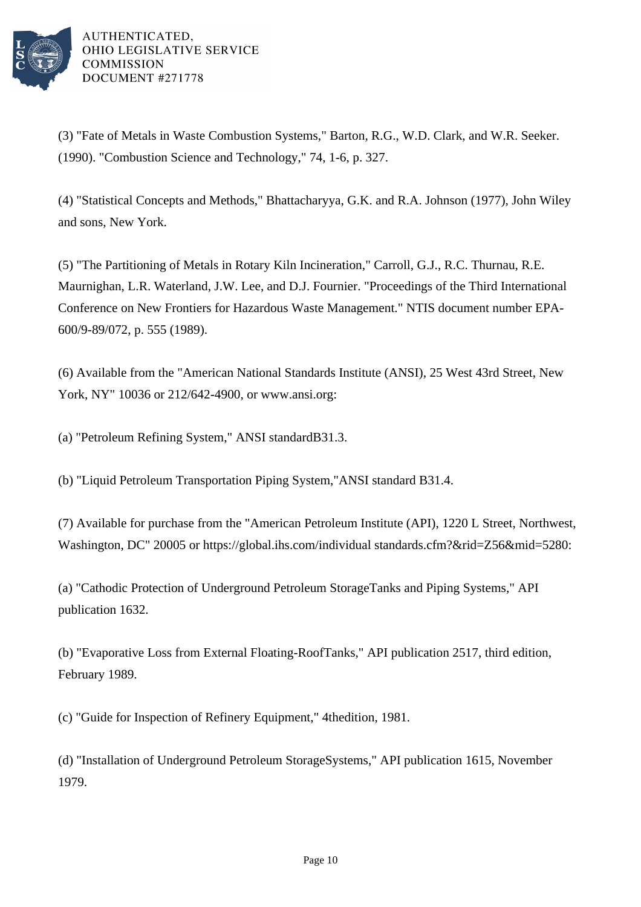

(3) "Fate of Metals in Waste Combustion Systems," Barton, R.G., W.D. Clark, and W.R. Seeker. (1990). "Combustion Science and Technology," 74, 1-6, p. 327.

(4) "Statistical Concepts and Methods," Bhattacharyya, G.K. and R.A. Johnson (1977), John Wiley and sons, New York.

(5) "The Partitioning of Metals in Rotary Kiln Incineration," Carroll, G.J., R.C. Thurnau, R.E. Maurnighan, L.R. Waterland, J.W. Lee, and D.J. Fournier. "Proceedings of the Third International Conference on New Frontiers for Hazardous Waste Management." NTIS document number EPA-600/9-89/072, p. 555 (1989).

(6) Available from the "American National Standards Institute (ANSI), 25 West 43rd Street, New York, NY" 10036 or 212/642-4900, or www.ansi.org:

(a) "Petroleum Refining System," ANSI standard B31.3.

(b) "Liquid Petroleum Transportation Piping System," ANSI standard B31.4.

(7) Available for purchase from the "American Petroleum Institute (API), 1220 L Street, Northwest, Washington, DC" 20005 or https://global.ihs.com/individual standards.cfm?&rid=Z56&mid=5280:

(a) "Cathodic Protection of Underground Petroleum Storage Tanks and Piping Systems," API publication 1632.

(b) "Evaporative Loss from External Floating-Roof Tanks," API publication 2517, third edition, February 1989.

(c) "Guide for Inspection of Refinery Equipment," 4th edition, 1981.

(d) "Installation of Underground Petroleum Storage Systems," API publication 1615, November 1979.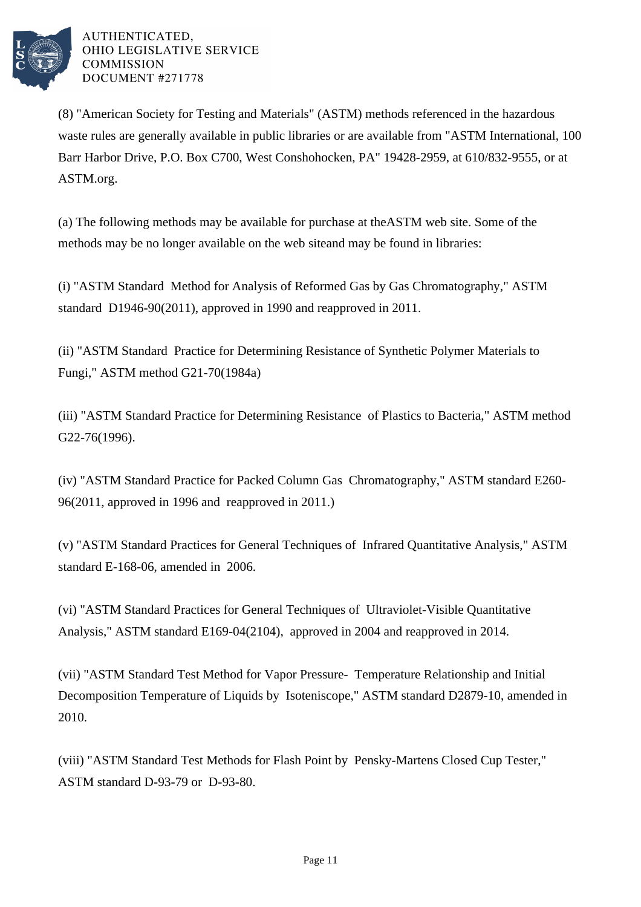

(8) "American Society for Testing and Materials" (ASTM) methods referenced in the hazardous waste rules are generally available in public libraries or are available from "ASTM International, 100 Barr Harbor Drive, P.O. Box C700, West Conshohocken, PA" 19428-2959, at 610/832-9555, or at ASTM.org.

(a) The following methods may be available for purchase at the ASTM web site. Some of the methods may be no longer available on the web site and may be found in libraries:

(i) "ASTM Standard Method for Analysis of Reformed Gas by Gas Chromatography," ASTM standard D1946-90(2011), approved in 1990 and reapproved in 2011.

(ii) "ASTM Standard Practice for Determining Resistance of Synthetic Polymer Materials to Fungi," ASTM method G21-70(1984a)

(iii) "ASTM Standard Practice for Determining Resistance of Plastics to Bacteria," ASTM method G22-76(1996).

(iv) "ASTM Standard Practice for Packed Column Gas Chromatography," ASTM standard E260- 96(2011, approved in 1996 and reapproved in 2011.)

(v) "ASTM Standard Practices for General Techniques of Infrared Quantitative Analysis," ASTM standard E-168-06, amended in  $2006$ .

(vi) "ASTM Standard Practices for General Techniques of Ultraviolet-Visible Quantitative Analysis," ASTM standard E169-04(2104), approved in 2004 and reapproved in 2014.

(vii) "ASTM Standard Test Method for Vapor Pressure- Temperature Relationship and Initial Decomposition Temperature of Liquids by Isoteniscope," ASTM standard D2879-10, amended in 2010.

(viii) "ASTM Standard Test Methods for Flash Point by Pensky-Martens Closed Cup Tester," ASTM standard D-93-79 or D-93-80.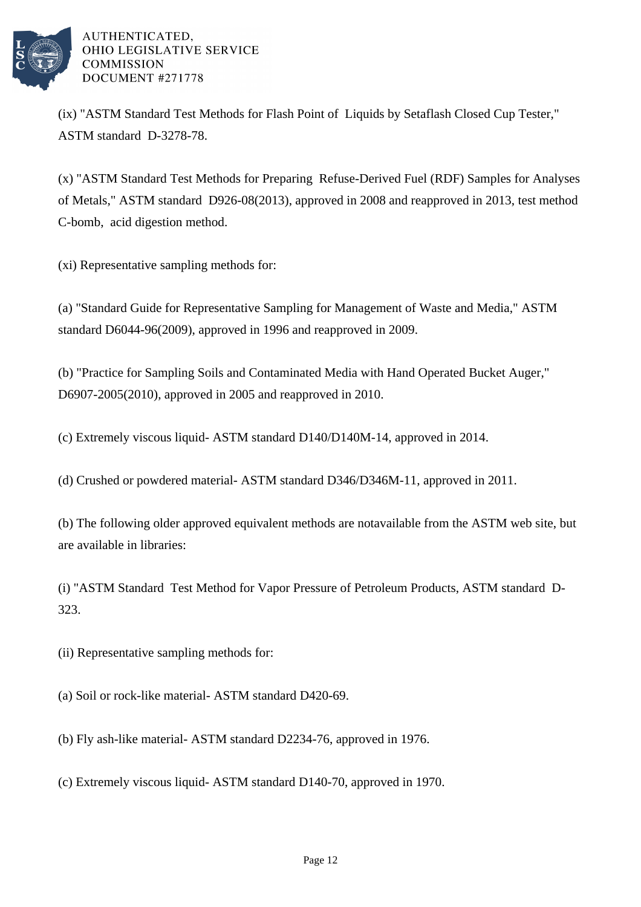

(ix) "ASTM Standard Test Methods for Flash Point of Liquids by Setaflash Closed Cup Tester," ASTM standard D-3278-78.

(x) "ASTM Standard Test Methods for Preparing Refuse-Derived Fuel (RDF) Samples for Analyses of Metals," ASTM standard D926-08(2013), approved in 2008 and reapproved in 2013, test method C-bomb, acid digestion method.

(xi) Representative sampling methods for:

(a) "Standard Guide for Representative Sampling for Management of Waste and Media," ASTM standard D6044-96(2009), approved in 1996 and reapproved in 2009.

(b) "Practice for Sampling Soils and Contaminated Media with Hand Operated Bucket Auger," D6907-2005(2010), approved in 2005 and reapproved in 2010.

(c) Extremely viscous liquid- ASTM standard D140/D140M-14, approved in 2014.

(d) Crushed or powdered material-ASTM standard D346/D346M-11, approved in 2011.

(b) The following older approved equivalent methods are not available from the ASTM web site, but are available in libraries:

(i) "ASTM Standard Test Method for Vapor Pressure of Petroleum Products, ASTM standard D-323.

(ii) Representative sampling methods for:

(a) Soil or rock-like material-ASTM standard D420-69.

(b) Fly ash-like material- ASTM standard D2234-76, approved in 1976.

(c) Extremely viscous liquid- ASTM standard D140-70, approved in 1970.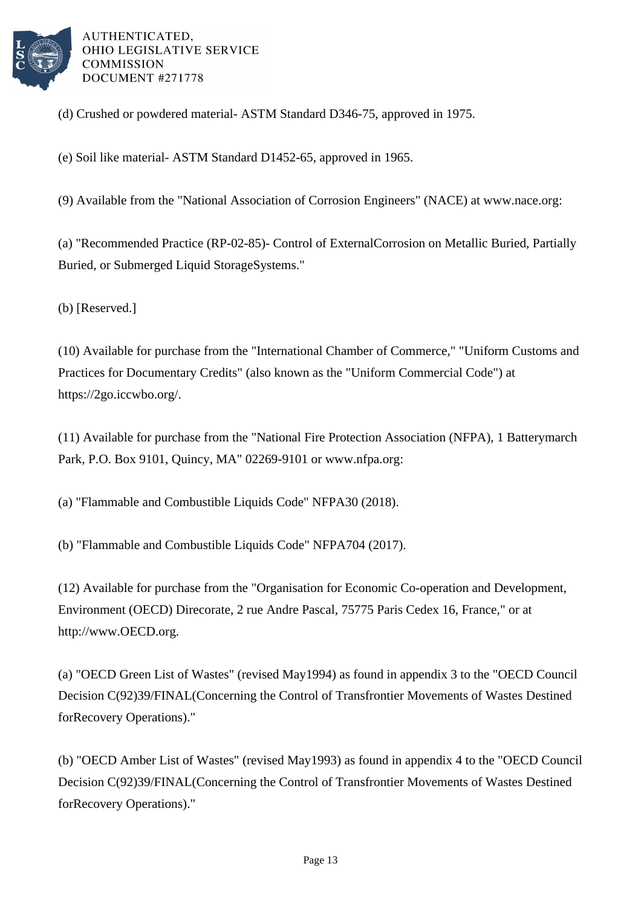

(d) Crushed or powdered material- ASTM Standard D346-75, approved in 1975.

(e) Soil like material- ASTM Standard D1452-65, approved in 1965.

(9) Available from the "National Association of Corrosion Engineers" (NACE) at www.nace.org:

(a) "Recommended Practice (RP-02-85)- Control of External Corrosion on Metallic Buried, Partially Buried, or Submerged Liquid Storage Systems."

(b) [Reserved.]

(10) Available for purchase from the "International Chamber of Commerce," "Uniform Customs and Practices for Documentary Credits" (also known as the "Uniform Commercial Code") at https://2go.iccwbo.org/.

(11) Available for purchase from the "National Fire Protection Association (NFPA), 1 Batterymarch Park, P.O. Box 9101, Quincy, MA" 02269-9101 or www.nfpa.org:

(a) "Flammable and Combustible Liquids Code" NFPA 30 (2018).

(b) "Flammable and Combustible Liquids Code" NFPA 704 (2017).

(12) Available for purchase from the "Organisation for Economic Co-operation and Development, Environment (OECD) Direcorate, 2 rue Andre Pascal, 75775 Paris Cedex 16, France," or at http://www.OECD.org.

(a) "OECD Green List of Wastes" (revised May 1994) as found in appendix 3 to the "OECD Council Decision C(92)39/FINAL (Concerning the Control of Transfrontier Movements of Wastes Destined for Recovery Operations)."

(b) "OECD Amber List of Wastes" (revised May 1993) as found in appendix 4 to the "OECD Council Decision C(92)39/FINAL (Concerning the Control of Transfrontier Movements of Wastes Destined for Recovery Operations)."